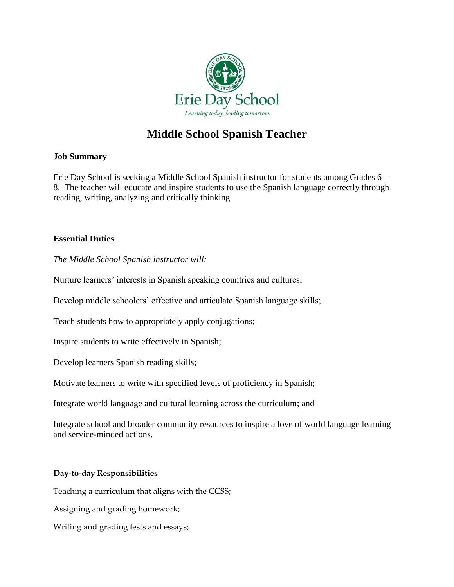

# **Middle School Spanish Teacher**

# **Job Summary**

Erie Day School is seeking a Middle School Spanish instructor for students among Grades 6 – 8. The teacher will educate and inspire students to use the Spanish language correctly through reading, writing, analyzing and critically thinking.

## **Essential Duties**

*The Middle School Spanish instructor will:*

Nurture learners' interests in Spanish speaking countries and cultures;

Develop middle schoolers' effective and articulate Spanish language skills;

Teach students how to appropriately apply conjugations;

Inspire students to write effectively in Spanish;

Develop learners Spanish reading skills;

Motivate learners to write with specified levels of proficiency in Spanish;

Integrate world language and cultural learning across the curriculum; and

Integrate school and broader community resources to inspire a love of world language learning and service-minded actions.

#### **Day-to-day Responsibilities**

Teaching a curriculum that aligns with the CCSS;

Assigning and grading homework;

Writing and grading tests and essays;